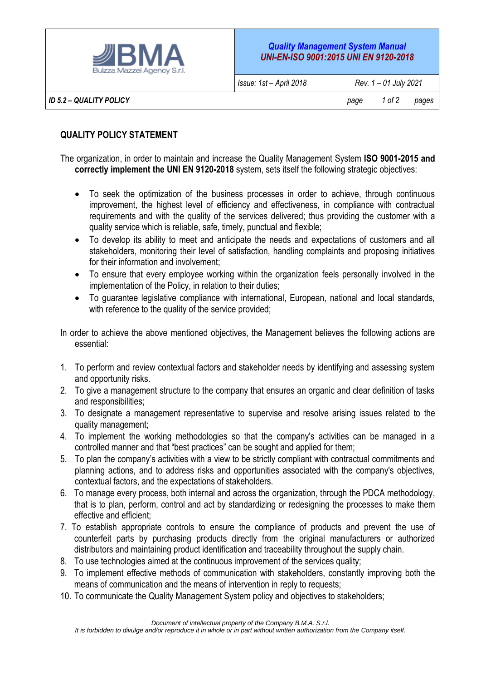

*ID 5.2 – QUALITY POLICY page 1 of 2 pages*

## **QUALITY POLICY STATEMENT**

The organization, in order to maintain and increase the Quality Management System **ISO 9001-2015 and correctly implement the UNI EN 9120-2018** system, sets itself the following strategic objectives:

- To seek the optimization of the business processes in order to achieve, through continuous improvement, the highest level of efficiency and effectiveness, in compliance with contractual requirements and with the quality of the services delivered; thus providing the customer with a quality service which is reliable, safe, timely, punctual and flexible;
- To develop its ability to meet and anticipate the needs and expectations of customers and all stakeholders, monitoring their level of satisfaction, handling complaints and proposing initiatives for their information and involvement;
- To ensure that every employee working within the organization feels personally involved in the implementation of the Policy, in relation to their duties;
- To guarantee legislative compliance with international, European, national and local standards, with reference to the quality of the service provided:

In order to achieve the above mentioned objectives, the Management believes the following actions are essential:

- 1. To perform and review contextual factors and stakeholder needs by identifying and assessing system and opportunity risks.
- 2. To give a management structure to the company that ensures an organic and clear definition of tasks and responsibilities;
- 3. To designate a management representative to supervise and resolve arising issues related to the quality management;
- 4. To implement the working methodologies so that the company's activities can be managed in a controlled manner and that "best practices" can be sought and applied for them;
- 5. To plan the company's activities with a view to be strictly compliant with contractual commitments and planning actions, and to address risks and opportunities associated with the company's objectives, contextual factors, and the expectations of stakeholders.
- 6. To manage every process, both internal and across the organization, through the PDCA methodology, that is to plan, perform, control and act by standardizing or redesigning the processes to make them effective and efficient;
- 7. To establish appropriate controls to ensure the compliance of products and prevent the use of counterfeit parts by purchasing products directly from the original manufacturers or authorized distributors and maintaining product identification and traceability throughout the supply chain.
- 8. To use technologies aimed at the continuous improvement of the services quality;
- 9. To implement effective methods of communication with stakeholders, constantly improving both the means of communication and the means of intervention in reply to requests;
- 10. To communicate the Quality Management System policy and objectives to stakeholders;